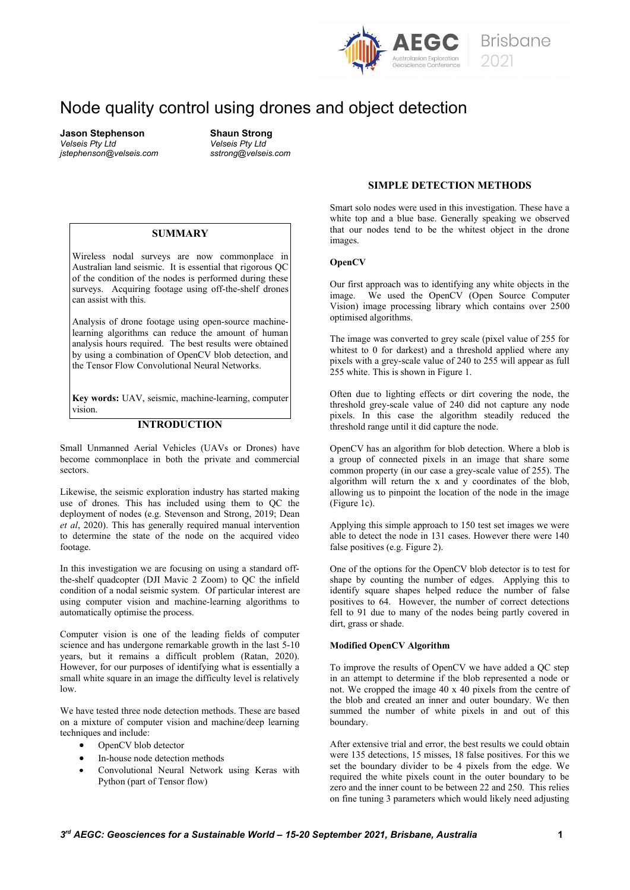

# Node quality control using drones and object detection

**Jason Stephenson Shaun Strong** *jstephenson@velseis.com sstrong@velseis.com*

*Velseis Pty Ltd Velseis Pty Ltd*

#### **SUMMARY**

Wireless nodal surveys are now commonplace in Australian land seismic. It is essential that rigorous QC of the condition of the nodes is performed during these surveys. Acquiring footage using off-the-shelf drones can assist with this.

Analysis of drone footage using open-source machinelearning algorithms can reduce the amount of human analysis hours required. The best results were obtained by using a combination of OpenCV blob detection, and the Tensor Flow Convolutional Neural Networks.

**Key words:** UAV, seismic, machine-learning, computer vision.

## **INTRODUCTION**

Small Unmanned Aerial Vehicles (UAVs or Drones) have become commonplace in both the private and commercial sectors.

Likewise, the seismic exploration industry has started making use of drones. This has included using them to QC the deployment of nodes (e.g. Stevenson and Strong, 2019; Dean *et al*, 2020). This has generally required manual intervention to determine the state of the node on the acquired video footage.

In this investigation we are focusing on using a standard offthe-shelf quadcopter (DJI Mavic 2 Zoom) to QC the infield condition of a nodal seismic system. Of particular interest are using computer vision and machine-learning algorithms to automatically optimise the process.

Computer vision is one of the leading fields of computer science and has undergone remarkable growth in the last 5-10 years, but it remains a difficult problem (Ratan, 2020). However, for our purposes of identifying what is essentially a small white square in an image the difficulty level is relatively low.

We have tested three node detection methods. These are based on a mixture of computer vision and machine/deep learning techniques and include:

- OpenCV blob detector
- In-house node detection methods
- Convolutional Neural Network using Keras with Python (part of Tensor flow)

# **SIMPLE DETECTION METHODS**

Smart solo nodes were used in this investigation. These have a white top and a blue base. Generally speaking we observed that our nodes tend to be the whitest object in the drone images.

#### **OpenCV**

Our first approach was to identifying any white objects in the image. We used the OpenCV (Open Source Computer Vision) image processing library which contains over 2500 optimised algorithms.

The image was converted to grey scale (pixel value of 255 for whitest to 0 for darkest) and a threshold applied where any pixels with a grey-scale value of 240 to 255 will appear as full 255 white. This is shown in Figure 1.

Often due to lighting effects or dirt covering the node, the threshold grey-scale value of 240 did not capture any node pixels. In this case the algorithm steadily reduced the threshold range until it did capture the node.

OpenCV has an algorithm for blob detection. Where a blob is a group of connected pixels in an image that share some common property (in our case a grey-scale value of 255). The algorithm will return the x and y coordinates of the blob, allowing us to pinpoint the location of the node in the image (Figure 1c).

Applying this simple approach to 150 test set images we were able to detect the node in 131 cases. However there were 140 false positives (e.g. Figure 2).

One of the options for the OpenCV blob detector is to test for shape by counting the number of edges. Applying this to identify square shapes helped reduce the number of false positives to 64. However, the number of correct detections fell to 91 due to many of the nodes being partly covered in dirt, grass or shade.

# **Modified OpenCV Algorithm**

To improve the results of OpenCV we have added a QC step in an attempt to determine if the blob represented a node or not. We cropped the image 40 x 40 pixels from the centre of the blob and created an inner and outer boundary. We then summed the number of white pixels in and out of this boundary.

After extensive trial and error, the best results we could obtain were 135 detections, 15 misses, 18 false positives. For this we set the boundary divider to be 4 pixels from the edge. We required the white pixels count in the outer boundary to be zero and the inner count to be between 22 and 250. This relies on fine tuning 3 parameters which would likely need adjusting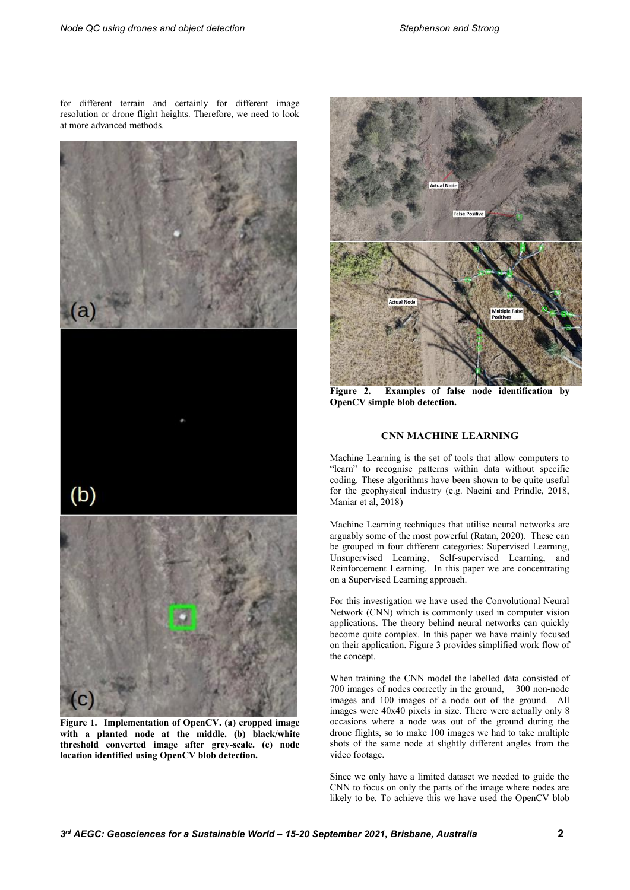for different terrain and certainly for different image resolution or drone flight heights. Therefore, we need to look at more advanced methods.



**Figure 1. Implementation of OpenCV. (a) cropped image with a planted node at the middle. (b) black/white threshold converted image after grey-scale. (c) node location identified using OpenCV blob detection.**



**Figure 2. Examples of false node identification by OpenCV simple blob detection.**

## **CNN MACHINE LEARNING**

Machine Learning is the set of tools that allow computers to "learn" to recognise patterns within data without specific coding. These algorithms have been shown to be quite useful for the geophysical industry (e.g. Naeini and Prindle, 2018, Maniar et al, 2018)

Machine Learning techniques that utilise neural networks are arguably some of the most powerful (Ratan, 2020). These can be grouped in four different categories: Supervised Learning, Unsupervised Learning, Self-supervised Learning, and Reinforcement Learning. In this paper we are concentrating on a Supervised Learning approach.

For this investigation we have used the Convolutional Neural Network (CNN) which is commonly used in computer vision applications. The theory behind neural networks can quickly become quite complex. In this paper we have mainly focused on their application. Figure 3 provides simplified work flow of the concept.

When training the CNN model the labelled data consisted of 700 images of nodes correctly in the ground, 300 non-node images and 100 images of a node out of the ground. All images were 40x40 pixels in size. There were actually only 8 occasions where a node was out of the ground during the drone flights, so to make 100 images we had to take multiple shots of the same node at slightly different angles from the video footage.

Since we only have a limited dataset we needed to guide the CNN to focus on only the parts of the image where nodes are likely to be. To achieve this we have used the OpenCV blob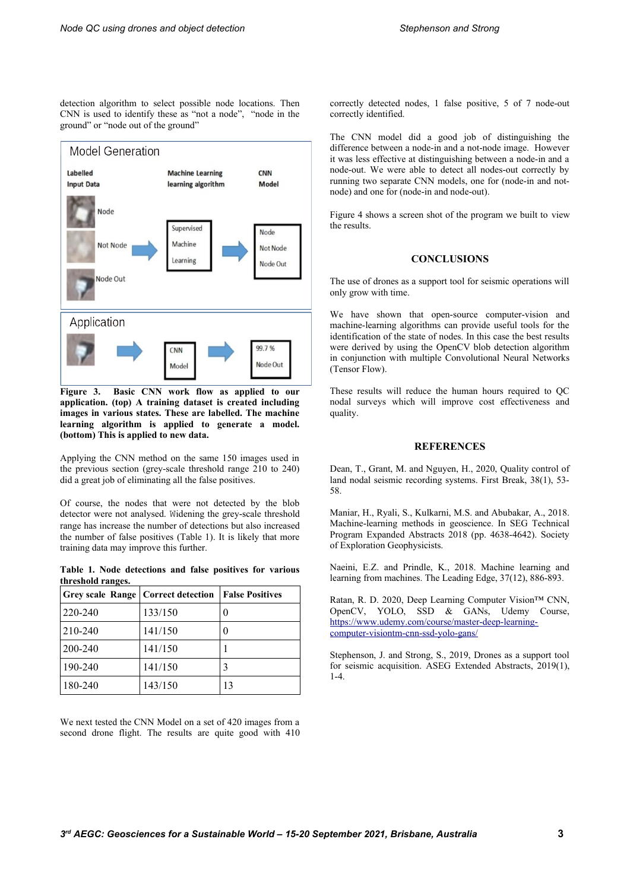detection algorithm to select possible node locations. Then CNN is used to identify these as "not a node", "node in the ground" or "node out of the ground"



**Figure 3. Basic CNN work flow as applied to our application. (top) A training dataset is created including images in various states. These are labelled. The machine learning algorithm is applied to generate a model. (bottom) This is applied to new data.** 

Applying the CNN method on the same 150 images used in the previous section (grey-scale threshold range 210 to 240) did a great job of eliminating all the false positives.

Of course, the nodes that were not detected by the blob detector were not analysed. Widening the grey-scale threshold range has increase the number of detections but also increased the number of false positives (Table 1). It is likely that more training data may improve this further.

**Table 1. Node detections and false positives for various threshold ranges.**

| <b>Grey scale Range   Correct detection</b> |         | <b>False Positives</b> |
|---------------------------------------------|---------|------------------------|
| 220-240                                     | 133/150 |                        |
| 210-240                                     | 141/150 |                        |
| 200-240                                     | 141/150 |                        |
| 190-240                                     | 141/150 |                        |
| 180-240                                     | 143/150 | 13                     |

We next tested the CNN Model on a set of 420 images from a second drone flight. The results are quite good with 410 correctly detected nodes, 1 false positive, 5 of 7 node-out correctly identified.

The CNN model did a good job of distinguishing the difference between a node-in and a not-node image. However it was less effective at distinguishing between a node-in and a node-out. We were able to detect all nodes-out correctly by running two separate CNN models, one for (node-in and notnode) and one for (node-in and node-out).

Figure 4 shows a screen shot of the program we built to view the results.

## **CONCLUSIONS**

The use of drones as a support tool for seismic operations will only grow with time.

We have shown that open-source computer-vision and machine-learning algorithms can provide useful tools for the identification of the state of nodes. In this case the best results were derived by using the OpenCV blob detection algorithm in conjunction with multiple Convolutional Neural Networks (Tensor Flow).

These results will reduce the human hours required to QC nodal surveys which will improve cost effectiveness and quality.

## **REFERENCES**

Dean, T., Grant, M. and Nguyen, H., 2020, Quality control of land nodal seismic recording systems. First Break, 38(1), 53- 58.

Maniar, H., Ryali, S., Kulkarni, M.S. and Abubakar, A., 2018. Machine-learning methods in geoscience. In SEG Technical Program Expanded Abstracts 2018 (pp. 4638-4642). Society of Exploration Geophysicists.

Naeini, E.Z. and Prindle, K., 2018. Machine learning and learning from machines. The Leading Edge, 37(12), 886-893.

Ratan, R. D. 2020, Deep Learning Computer Vision™ CNN, OpenCV, YOLO, SSD & GANs, Udemy Course, [https://www.udemy.com/course/master-deep-learning](https://www.udemy.com/course/master-deep-learning-computer-visiontm-cnn-ssd-yolo-gans/)[computer-visiontm-cnn-ssd-yolo-gans/](https://www.udemy.com/course/master-deep-learning-computer-visiontm-cnn-ssd-yolo-gans/)

Stephenson, J. and Strong, S., 2019, Drones as a support tool for seismic acquisition. ASEG Extended Abstracts, 2019(1),  $1 - 4$